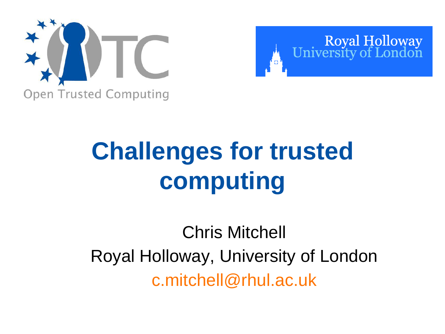



# **Challenges for trusted computing**

# Chris Mitchell Royal Holloway, University of London c.mitchell@rhul.ac.uk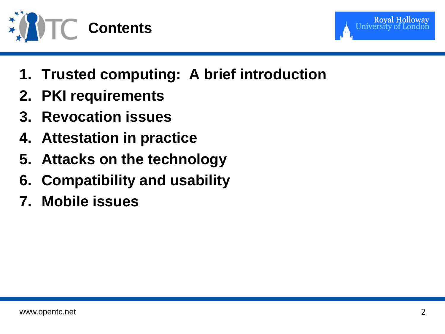



- **1. Trusted computing: A brief introduction**
- **2. PKI requirements**
- **3. Revocation issues**
- **4. Attestation in practice**
- **5. Attacks on the technology**
- **6. Compatibility and usability**
- **7. Mobile issues**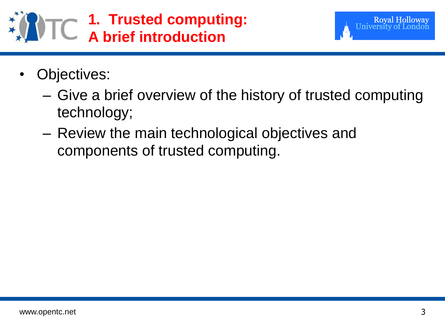- Objectives:
	- Give a brief overview of the history of trusted computing technology;
	- Review the main technological objectives and components of trusted computing.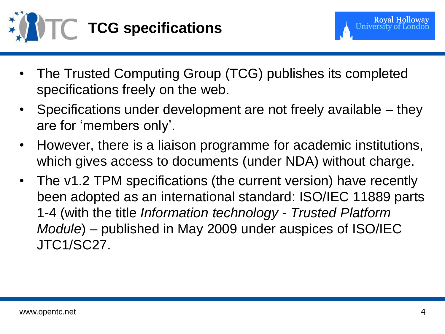

- The Trusted Computing Group (TCG) publishes its completed specifications freely on the web.
- Specifications under development are not freely available they are for "members only".
- However, there is a liaison programme for academic institutions, which gives access to documents (under NDA) without charge.
- The v1.2 TPM specifications (the current version) have recently been adopted as an international standard: ISO/IEC 11889 parts 1-4 (with the title *Information technology - Trusted Platform Module*) – published in May 2009 under auspices of ISO/IEC JTC1/SC27.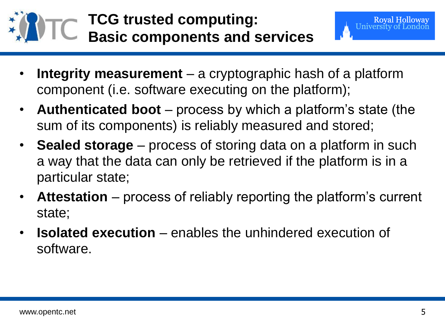

- **Integrity measurement**  a cryptographic hash of a platform component (i.e. software executing on the platform);
- **Authenticated boot**  process by which a platform"s state (the sum of its components) is reliably measured and stored;
- **Sealed storage**  process of storing data on a platform in such a way that the data can only be retrieved if the platform is in a particular state;
- **Attestation**  process of reliably reporting the platform"s current state;
- **Isolated execution**  enables the unhindered execution of software.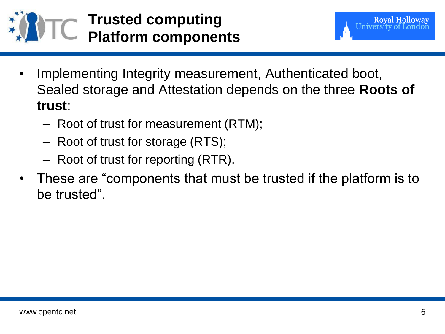



- Implementing Integrity measurement, Authenticated boot, Sealed storage and Attestation depends on the three **Roots of trust**:
	- Root of trust for measurement (RTM);
	- Root of trust for storage (RTS);
	- Root of trust for reporting (RTR).
- These are "components that must be trusted if the platform is to be trusted".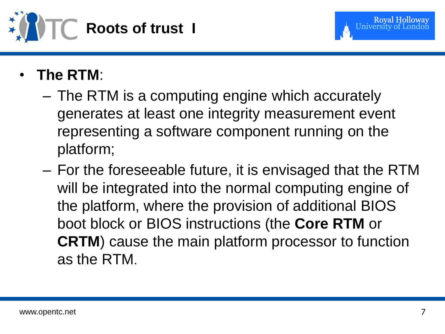

- **The RTM**:
	- The RTM is a computing engine which accurately generates at least one integrity measurement event representing a software component running on the platform;
	- For the foreseeable future, it is envisaged that the RTM will be integrated into the normal computing engine of the platform, where the provision of additional BIOS boot block or BIOS instructions (the **Core RTM** or **CRTM**) cause the main platform processor to function as the RTM.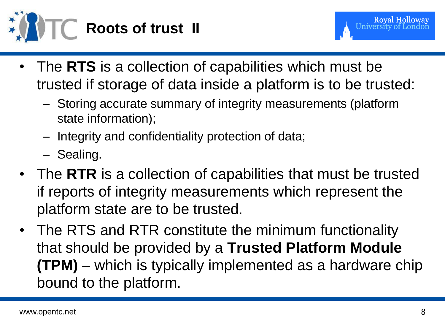

- The RTS is a collection of capabilities which must be trusted if storage of data inside a platform is to be trusted:
	- Storing accurate summary of integrity measurements (platform state information);
	- Integrity and confidentiality protection of data;
	- Sealing.
- The **RTR** is a collection of capabilities that must be trusted if reports of integrity measurements which represent the platform state are to be trusted.
- The RTS and RTR constitute the minimum functionality that should be provided by a **Trusted Platform Module (TPM)** – which is typically implemented as a hardware chip bound to the platform.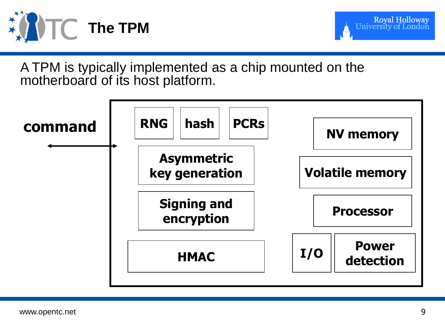



A TPM is typically implemented as a chip mounted on the motherboard of its host platform.

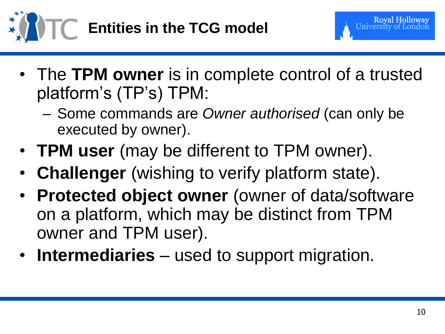

- The **TPM owner** is in complete control of a trusted platform"s (TP"s) TPM:
	- Some commands are *Owner authorised* (can only be executed by owner).
- **TPM user** (may be different to TPM owner).
- **Challenger** (wishing to verify platform state).
- **Protected object owner** (owner of data/software on a platform, which may be distinct from TPM owner and TPM user).
- **Intermediaries** used to support migration.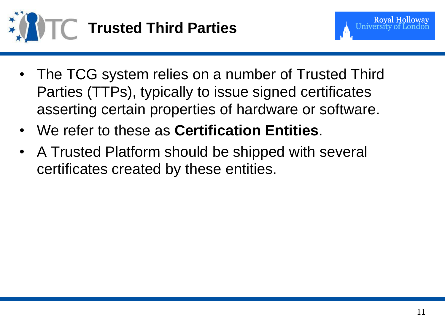

- The TCG system relies on a number of Trusted Third Parties (TTPs), typically to issue signed certificates asserting certain properties of hardware or software.
- We refer to these as **Certification Entities**.
- A Trusted Platform should be shipped with several certificates created by these entities.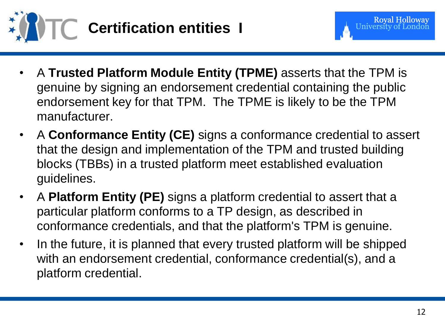

- A **Trusted Platform Module Entity (TPME)** asserts that the TPM is genuine by signing an endorsement credential containing the public endorsement key for that TPM. The TPME is likely to be the TPM manufacturer.
- A **Conformance Entity (CE)** signs a conformance credential to assert that the design and implementation of the TPM and trusted building blocks (TBBs) in a trusted platform meet established evaluation guidelines.
- A **Platform Entity (PE)** signs a platform credential to assert that a particular platform conforms to a TP design, as described in conformance credentials, and that the platform's TPM is genuine.
- In the future, it is planned that every trusted platform will be shipped with an endorsement credential, conformance credential(s), and a platform credential.

**Royal Holloway**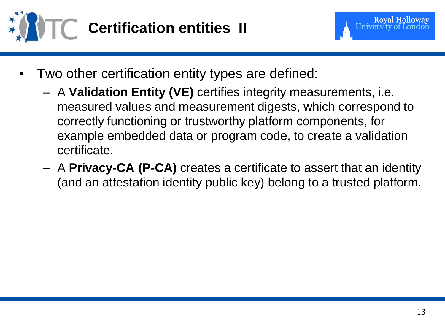



- Two other certification entity types are defined:
	- A **Validation Entity (VE)** certifies integrity measurements, i.e. measured values and measurement digests, which correspond to correctly functioning or trustworthy platform components, for example embedded data or program code, to create a validation certificate.
	- A **Privacy-CA (P-CA)** creates a certificate to assert that an identity (and an attestation identity public key) belong to a trusted platform.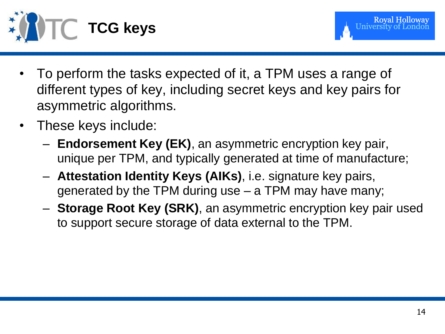

- To perform the tasks expected of it, a TPM uses a range of different types of key, including secret keys and key pairs for asymmetric algorithms.
- These keys include:
	- **Endorsement Key (EK)**, an asymmetric encryption key pair, unique per TPM, and typically generated at time of manufacture;
	- **Attestation Identity Keys (AIKs)**, i.e. signature key pairs, generated by the TPM during use – a TPM may have many;
	- **Storage Root Key (SRK)**, an asymmetric encryption key pair used to support secure storage of data external to the TPM.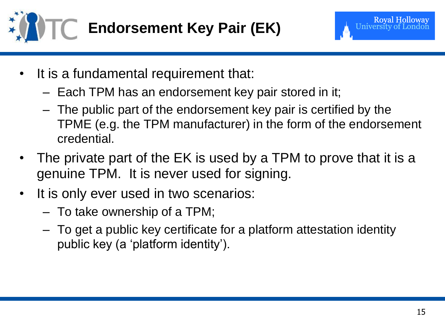

- It is a fundamental requirement that:
	- Each TPM has an endorsement key pair stored in it;
	- The public part of the endorsement key pair is certified by the TPME (e.g. the TPM manufacturer) in the form of the endorsement credential.
- The private part of the EK is used by a TPM to prove that it is a genuine TPM. It is never used for signing.
- It is only ever used in two scenarios:
	- To take ownership of a TPM;
	- To get a public key certificate for a platform attestation identity public key (a "platform identity").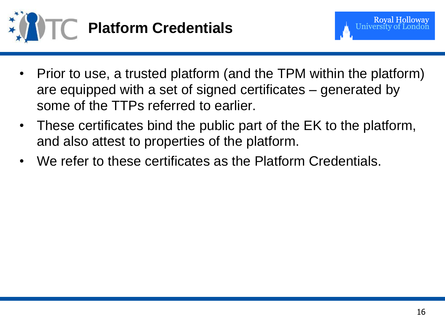

- Prior to use, a trusted platform (and the TPM within the platform) are equipped with a set of signed certificates – generated by some of the TTPs referred to earlier.
- These certificates bind the public part of the EK to the platform, and also attest to properties of the platform.
- We refer to these certificates as the Platform Credentials.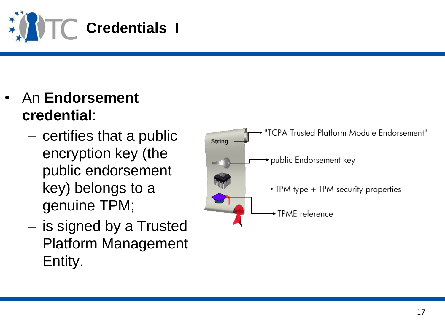

- An **Endorsement credential** :
	- certifies that a public encryption key (the public endorsement key) belongs to a genuine TPM;
	- is signed by a Trusted Platform Management Entity.

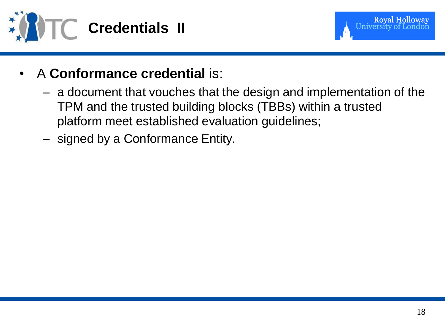



- A **Conformance credential** is:
	- a document that vouches that the design and implementation of the TPM and the trusted building blocks (TBBs) within a trusted platform meet established evaluation guidelines;
	- signed by a Conformance Entity.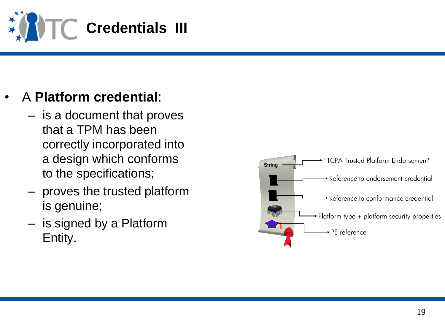

### • A **Platform credential** :

- is a document that proves that a TPM has been correctly incorporated into a design which conforms to the specifications;
- proves the trusted platform is genuine;
- is signed by a Platform Entity.

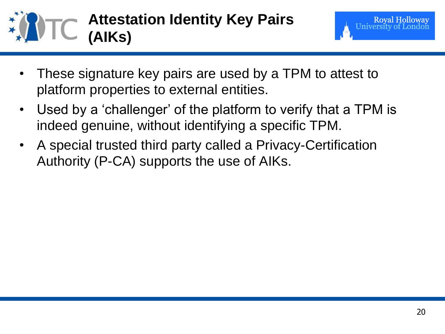

- These signature key pairs are used by a TPM to attest to platform properties to external entities.
- Used by a 'challenger' of the platform to verify that a TPM is indeed genuine, without identifying a specific TPM.
- A special trusted third party called a Privacy-Certification Authority (P-CA) supports the use of AIKs.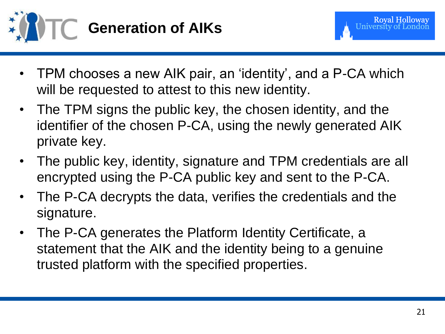

- TPM chooses a new AIK pair, an "identity", and a P-CA which will be requested to attest to this new identity.
- The TPM signs the public key, the chosen identity, and the identifier of the chosen P-CA, using the newly generated AIK private key.
- The public key, identity, signature and TPM credentials are all encrypted using the P-CA public key and sent to the P-CA.
- The P-CA decrypts the data, verifies the credentials and the signature.
- The P-CA generates the Platform Identity Certificate, a statement that the AIK and the identity being to a genuine trusted platform with the specified properties.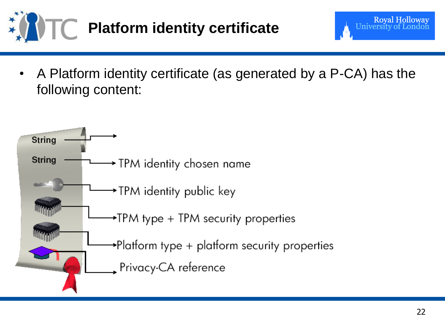

• A Platform identity certificate (as generated by a P-CA) has the following content:



**Royal Holloway** 

University o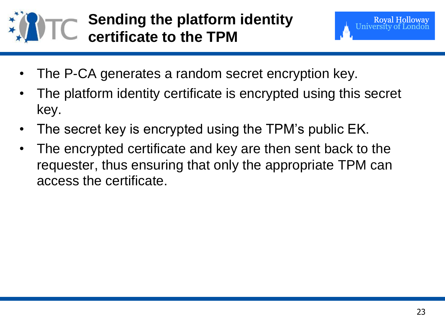

- The P-CA generates a random secret encryption key.
- The platform identity certificate is encrypted using this secret key.
- The secret key is encrypted using the TPM's public EK.
- The encrypted certificate and key are then sent back to the requester, thus ensuring that only the appropriate TPM can access the certificate.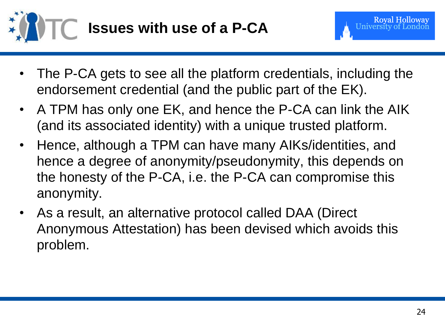



- The P-CA gets to see all the platform credentials, including the endorsement credential (and the public part of the EK).
- A TPM has only one EK, and hence the P-CA can link the AIK (and its associated identity) with a unique trusted platform.
- Hence, although a TPM can have many AIKs/identities, and hence a degree of anonymity/pseudonymity, this depends on the honesty of the P-CA, i.e. the P-CA can compromise this anonymity.
- As a result, an alternative protocol called DAA (Direct Anonymous Attestation) has been devised which avoids this problem.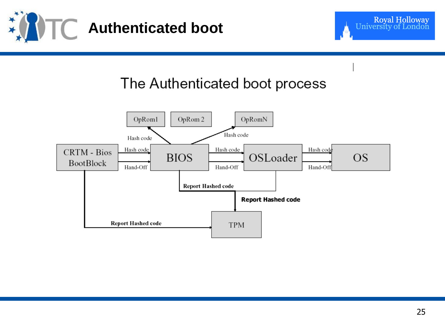



#### The Authenticated boot process

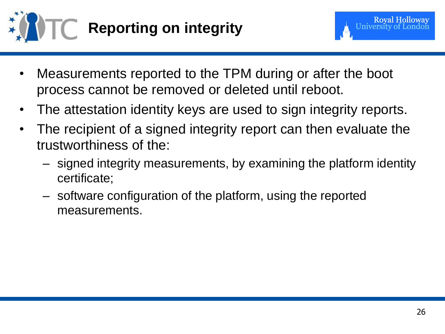

- Measurements reported to the TPM during or after the boot process cannot be removed or deleted until reboot.
- The attestation identity keys are used to sign integrity reports.
- The recipient of a signed integrity report can then evaluate the trustworthiness of the:
	- signed integrity measurements, by examining the platform identity certificate;
	- software configuration of the platform, using the reported measurements.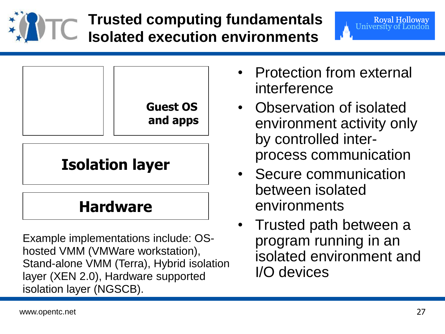

# **Trusted computing fundamentals Isolated execution environments**



## **Isolation layer**

### **Hardware**

Example implementations include: OShosted VMM (VMWare workstation), Stand-alone VMM (Terra), Hybrid isolation layer (XEN 2.0), Hardware supported isolation layer (NGSCB).

• Protection from external interference

Royal Holloway<br>University of London

- Observation of isolated environment activity only by controlled interprocess communication
- Secure communication between isolated environments
- Trusted path between a program running in an isolated environment and I/O devices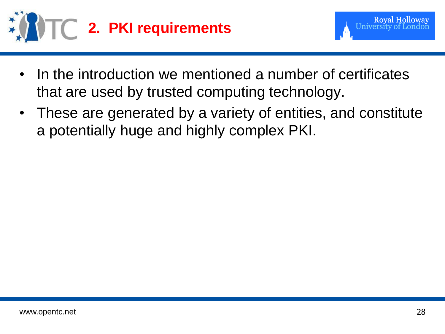



- In the introduction we mentioned a number of certificates that are used by trusted computing technology.
- These are generated by a variety of entities, and constitute a potentially huge and highly complex PKI.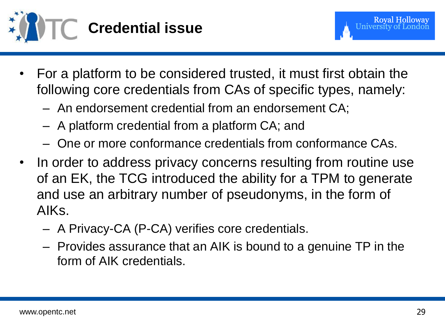

- For a platform to be considered trusted, it must first obtain the following core credentials from CAs of specific types, namely:
	- An endorsement credential from an endorsement CA;
	- A platform credential from a platform CA; and
	- One or more conformance credentials from conformance CAs.
- In order to address privacy concerns resulting from routine use of an EK, the TCG introduced the ability for a TPM to generate and use an arbitrary number of pseudonyms, in the form of AIKs.
	- A Privacy-CA (P-CA) verifies core credentials.
	- Provides assurance that an AIK is bound to a genuine TP in the form of AIK credentials.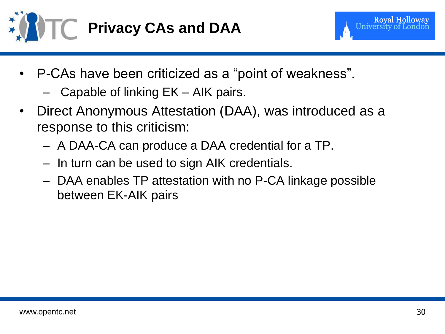

- P-CAs have been criticized as a "point of weakness".
	- Capable of linking EK AIK pairs.
- Direct Anonymous Attestation (DAA), was introduced as a response to this criticism:
	- A DAA-CA can produce a DAA credential for a TP.
	- In turn can be used to sign AIK credentials.
	- DAA enables TP attestation with no P-CA linkage possible between EK-AIK pairs

**Royal Holloway**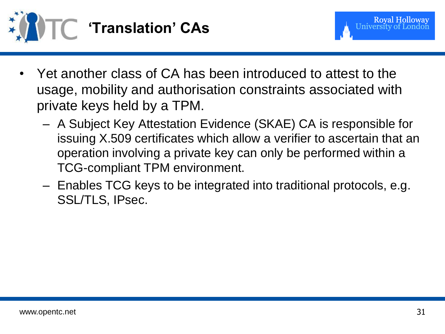

- Yet another class of CA has been introduced to attest to the usage, mobility and authorisation constraints associated with private keys held by a TPM.
	- A Subject Key Attestation Evidence (SKAE) CA is responsible for issuing X.509 certificates which allow a verifier to ascertain that an operation involving a private key can only be performed within a TCG-compliant TPM environment.
	- Enables TCG keys to be integrated into traditional protocols, e.g. SSL/TLS, IPsec.

**Royal Holloway**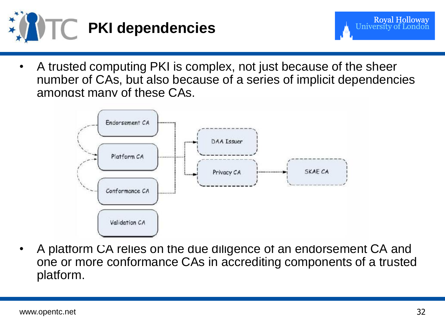

- Royal Holloway<br>University of London
- A trusted computing PKI is complex, not just because of the sheer number of CAs, but also because of a series of implicit dependencies amongst many of these CAs.



• A platform CA relies on the due diligence of an endorsement CA and one or more conformance CAs in accrediting components of a trusted platform.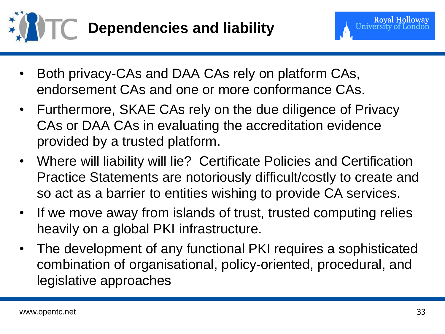

- Both privacy-CAs and DAA CAs rely on platform CAs, endorsement CAs and one or more conformance CAs.
- Furthermore, SKAE CAs rely on the due diligence of Privacy CAs or DAA CAs in evaluating the accreditation evidence provided by a trusted platform.
- Where will liability will lie? Certificate Policies and Certification Practice Statements are notoriously difficult/costly to create and so act as a barrier to entities wishing to provide CA services.
- If we move away from islands of trust, trusted computing relies heavily on a global PKI infrastructure.
- The development of any functional PKI requires a sophisticated combination of organisational, policy-oriented, procedural, and legislative approaches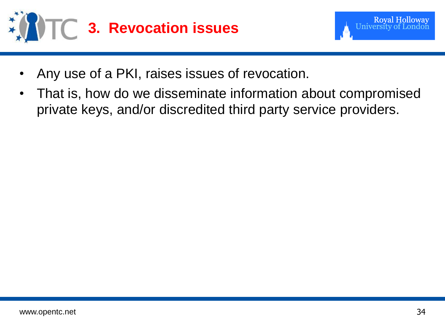



- Any use of a PKI, raises issues of revocation.
- That is, how do we disseminate information about compromised private keys, and/or discredited third party service providers.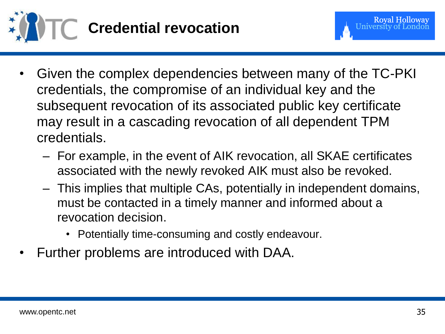

- Given the complex dependencies between many of the TC-PKI credentials, the compromise of an individual key and the subsequent revocation of its associated public key certificate may result in a cascading revocation of all dependent TPM credentials.
	- For example, in the event of AIK revocation, all SKAE certificates associated with the newly revoked AIK must also be revoked.
	- This implies that multiple CAs, potentially in independent domains, must be contacted in a timely manner and informed about a revocation decision.
		- Potentially time-consuming and costly endeavour.
- Further problems are introduced with DAA.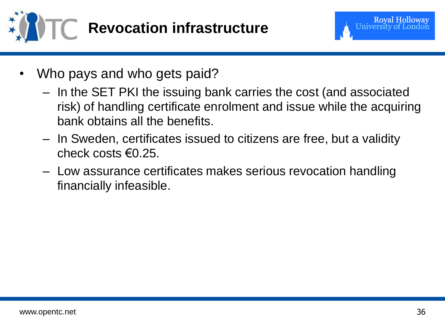



- Who pays and who gets paid?
	- In the SET PKI the issuing bank carries the cost (and associated risk) of handling certificate enrolment and issue while the acquiring bank obtains all the benefits.
	- In Sweden, certificates issued to citizens are free, but a validity check costs  $\epsilon$ 0.25.
	- Low assurance certificates makes serious revocation handling financially infeasible.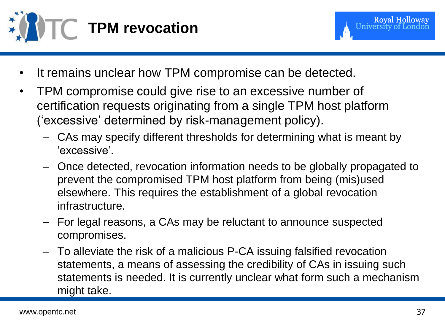

- It remains unclear how TPM compromise can be detected.
- TPM compromise could give rise to an excessive number of certification requests originating from a single TPM host platform ("excessive" determined by risk-management policy).
	- CAs may specify different thresholds for determining what is meant by "excessive".
	- Once detected, revocation information needs to be globally propagated to prevent the compromised TPM host platform from being (mis)used elsewhere. This requires the establishment of a global revocation infrastructure.
	- For legal reasons, a CAs may be reluctant to announce suspected compromises.
	- To alleviate the risk of a malicious P-CA issuing falsified revocation statements, a means of assessing the credibility of CAs in issuing such statements is needed. It is currently unclear what form such a mechanism might take.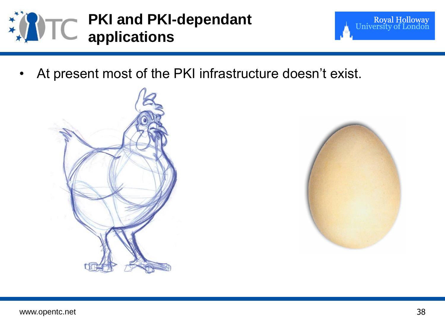

- Royal Holloway<br>University of London
- At present most of the PKI infrastructure doesn't exist.



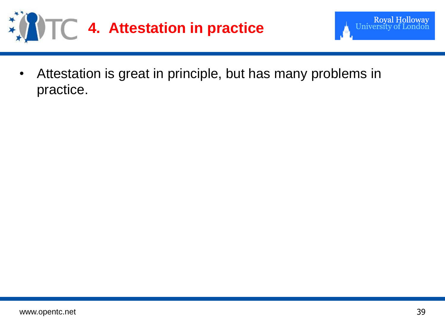



• Attestation is great in principle, but has many problems in practice.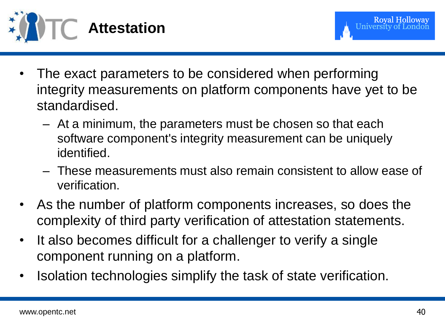

- The exact parameters to be considered when performing integrity measurements on platform components have yet to be standardised.
	- At a minimum, the parameters must be chosen so that each software component's integrity measurement can be uniquely identified.
	- These measurements must also remain consistent to allow ease of verification.
- As the number of platform components increases, so does the complexity of third party verification of attestation statements.
- It also becomes difficult for a challenger to verify a single component running on a platform.
- Isolation technologies simplify the task of state verification.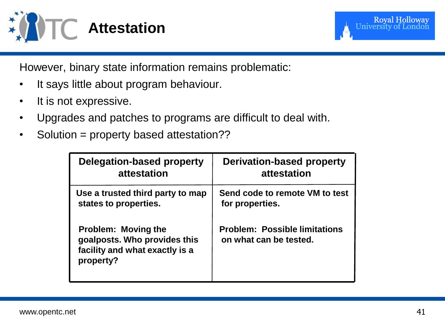

However, binary state information remains problematic:

- It says little about program behaviour.
- It is not expressive.
- Upgrades and patches to programs are difficult to deal with.
- Solution = property based attestation??

| Delegation-based property                                                                                 | <b>Derivation-based property</b>                               |
|-----------------------------------------------------------------------------------------------------------|----------------------------------------------------------------|
| attestation                                                                                               | attestation                                                    |
| Use a trusted third party to map                                                                          | Send code to remote VM to test                                 |
| states to properties.                                                                                     | for properties.                                                |
| <b>Problem: Moving the</b><br>goalposts. Who provides this<br>facility and what exactly is a<br>property? | <b>Problem: Possible limitations</b><br>on what can be tested. |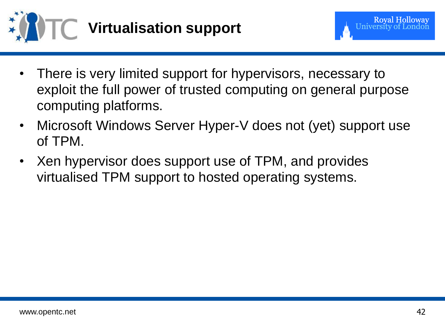

- There is very limited support for hypervisors, necessary to exploit the full power of trusted computing on general purpose computing platforms.
- Microsoft Windows Server Hyper-V does not (yet) support use of TPM.
- Xen hypervisor does support use of TPM, and provides virtualised TPM support to hosted operating systems.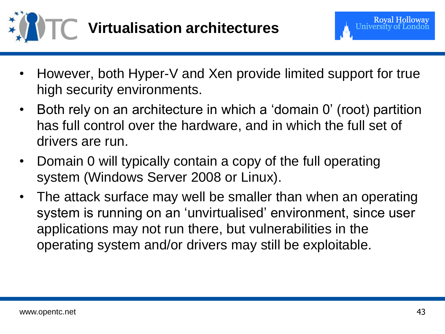

- However, both Hyper-V and Xen provide limited support for true high security environments.
- Both rely on an architecture in which a 'domain 0' (root) partition has full control over the hardware, and in which the full set of drivers are run.
- Domain 0 will typically contain a copy of the full operating system (Windows Server 2008 or Linux).
- The attack surface may well be smaller than when an operating system is running on an "unvirtualised" environment, since user applications may not run there, but vulnerabilities in the operating system and/or drivers may still be exploitable.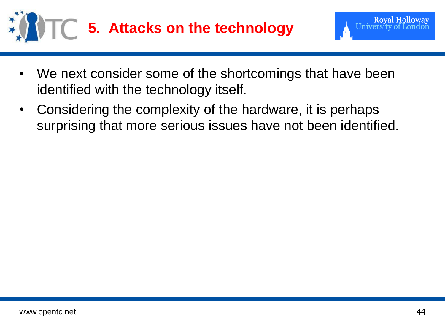

- We next consider some of the shortcomings that have been identified with the technology itself.
- Considering the complexity of the hardware, it is perhaps surprising that more serious issues have not been identified.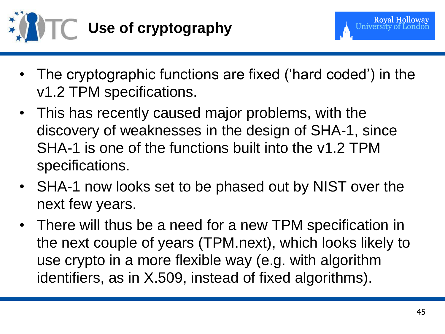

- 
- The cryptographic functions are fixed ('hard coded') in the v1.2 TPM specifications.
- This has recently caused major problems, with the discovery of weaknesses in the design of SHA-1, since SHA-1 is one of the functions built into the v1.2 TPM specifications.
- SHA-1 now looks set to be phased out by NIST over the next few years.
- There will thus be a need for a new TPM specification in the next couple of years (TPM.next), which looks likely to use crypto in a more flexible way (e.g. with algorithm identifiers, as in X.509, instead of fixed algorithms).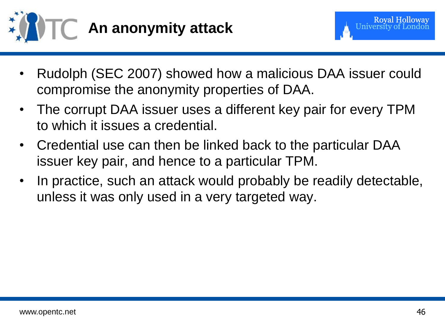

- Rudolph (SEC 2007) showed how a malicious DAA issuer could compromise the anonymity properties of DAA.
- The corrupt DAA issuer uses a different key pair for every TPM to which it issues a credential.
- Credential use can then be linked back to the particular DAA issuer key pair, and hence to a particular TPM.
- In practice, such an attack would probably be readily detectable, unless it was only used in a very targeted way.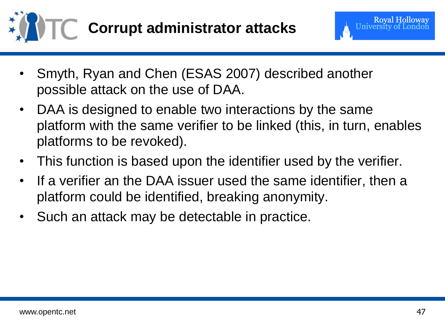

- Smyth, Ryan and Chen (ESAS 2007) described another possible attack on the use of DAA.
- DAA is designed to enable two interactions by the same platform with the same verifier to be linked (this, in turn, enables platforms to be revoked).
- This function is based upon the identifier used by the verifier.
- If a verifier an the DAA issuer used the same identifier, then a platform could be identified, breaking anonymity.
- Such an attack may be detectable in practice.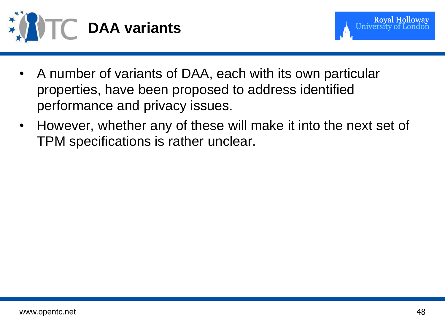



- A number of variants of DAA, each with its own particular properties, have been proposed to address identified performance and privacy issues.
- However, whether any of these will make it into the next set of TPM specifications is rather unclear.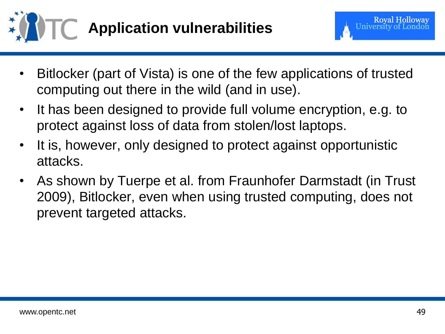

- Bitlocker (part of Vista) is one of the few applications of trusted computing out there in the wild (and in use).
- It has been designed to provide full volume encryption, e.g. to protect against loss of data from stolen/lost laptops.
- It is, however, only designed to protect against opportunistic attacks.
- As shown by Tuerpe et al. from Fraunhofer Darmstadt (in Trust 2009), Bitlocker, even when using trusted computing, does not prevent targeted attacks.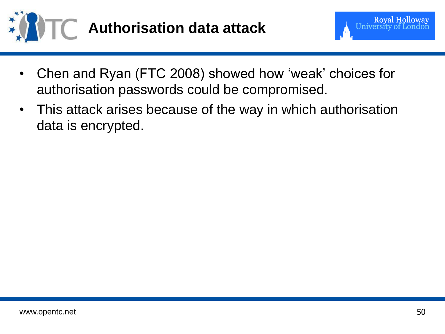

- Chen and Ryan (FTC 2008) showed how "weak" choices for authorisation passwords could be compromised.
- This attack arises because of the way in which authorisation data is encrypted.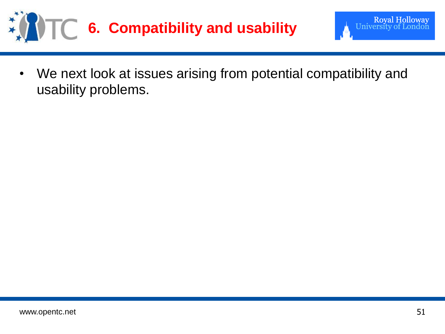



Royal Holloway<br>University of London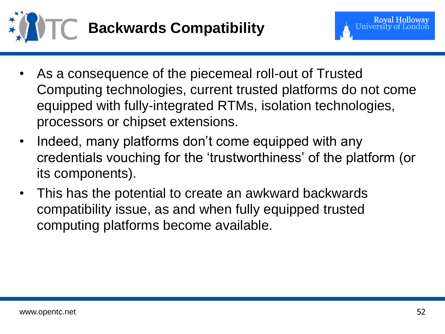

- As a consequence of the piecemeal roll-out of Trusted Computing technologies, current trusted platforms do not come equipped with fully-integrated RTMs, isolation technologies, processors or chipset extensions.
- Indeed, many platforms don't come equipped with any credentials vouching for the "trustworthiness" of the platform (or its components).
- This has the potential to create an awkward backwards compatibility issue, as and when fully equipped trusted computing platforms become available.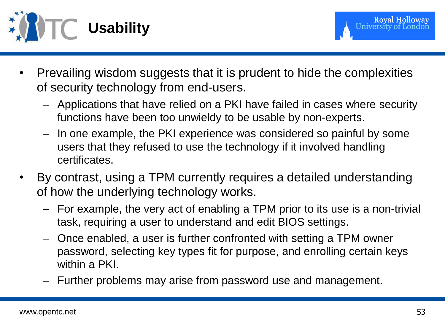

- Prevailing wisdom suggests that it is prudent to hide the complexities of security technology from end-users.
	- Applications that have relied on a PKI have failed in cases where security functions have been too unwieldy to be usable by non-experts.
	- In one example, the PKI experience was considered so painful by some users that they refused to use the technology if it involved handling certificates.
- By contrast, using a TPM currently requires a detailed understanding of how the underlying technology works.
	- For example, the very act of enabling a TPM prior to its use is a non-trivial task, requiring a user to understand and edit BIOS settings.
	- Once enabled, a user is further confronted with setting a TPM owner password, selecting key types fit for purpose, and enrolling certain keys within a PKI.
	- Further problems may arise from password use and management.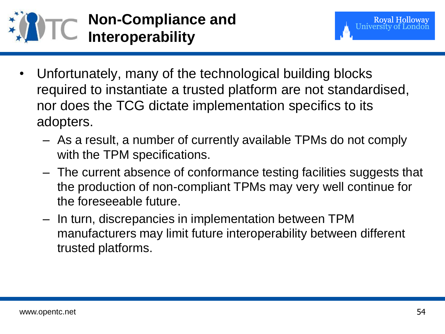

- Unfortunately, many of the technological building blocks required to instantiate a trusted platform are not standardised, nor does the TCG dictate implementation specifics to its adopters.
	- As a result, a number of currently available TPMs do not comply with the TPM specifications.
	- The current absence of conformance testing facilities suggests that the production of non-compliant TPMs may very well continue for the foreseeable future.
	- In turn, discrepancies in implementation between TPM manufacturers may limit future interoperability between different trusted platforms.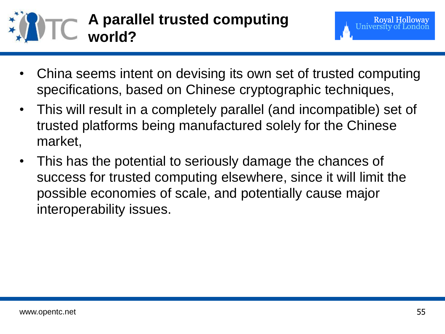

- China seems intent on devising its own set of trusted computing specifications, based on Chinese cryptographic techniques,
- This will result in a completely parallel (and incompatible) set of trusted platforms being manufactured solely for the Chinese market,
- This has the potential to seriously damage the chances of success for trusted computing elsewhere, since it will limit the possible economies of scale, and potentially cause major interoperability issues.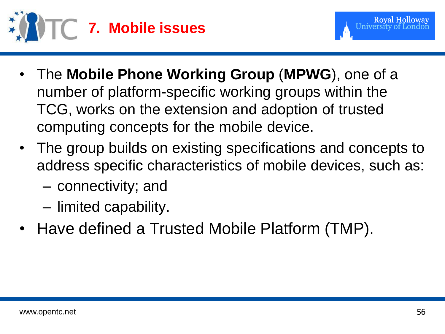

- The **Mobile Phone Working Group** (**MPWG**), one of a number of platform-specific working groups within the TCG, works on the extension and adoption of trusted computing concepts for the mobile device.
- The group builds on existing specifications and concepts to address specific characteristics of mobile devices, such as:
	- connectivity; and
	- limited capability.
- Have defined a Trusted Mobile Platform (TMP).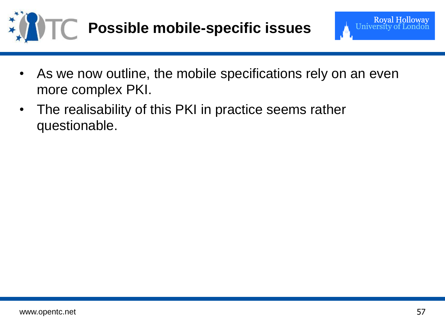



- As we now outline, the mobile specifications rely on an even more complex PKI.
- The realisability of this PKI in practice seems rather questionable.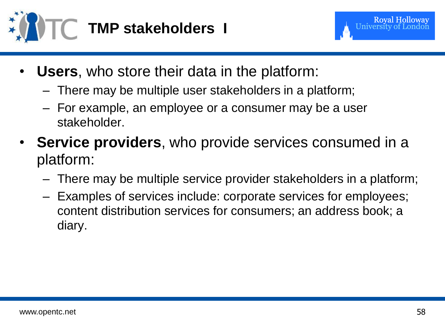

- **Users**, who store their data in the platform:
	- There may be multiple user stakeholders in a platform;
	- For example, an employee or a consumer may be a user stakeholder.
- **Service providers**, who provide services consumed in a platform:
	- There may be multiple service provider stakeholders in a platform;
	- Examples of services include: corporate services for employees; content distribution services for consumers; an address book; a diary.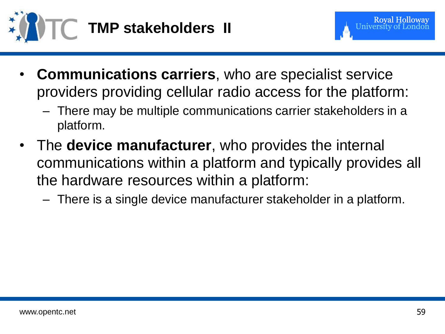

- 
- **Communications carriers**, who are specialist service providers providing cellular radio access for the platform:
	- There may be multiple communications carrier stakeholders in a platform.
- The **device manufacturer**, who provides the internal communications within a platform and typically provides all the hardware resources within a platform:
	- There is a single device manufacturer stakeholder in a platform.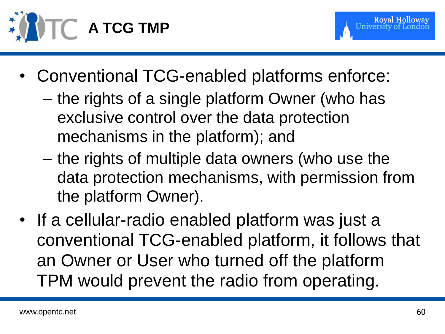

- **Royal Holloway**
- Conventional TCG-enabled platforms enforce:
	- the rights of a single platform Owner (who has exclusive control over the data protection mechanisms in the platform); and
	- the rights of multiple data owners (who use the data protection mechanisms, with permission from the platform Owner).
- If a cellular-radio enabled platform was just a conventional TCG-enabled platform, it follows that an Owner or User who turned off the platform TPM would prevent the radio from operating.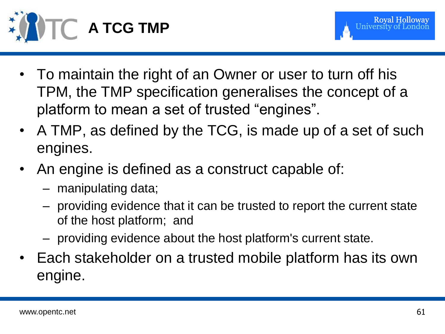

- To maintain the right of an Owner or user to turn off his TPM, the TMP specification generalises the concept of a platform to mean a set of trusted "engines".
- A TMP, as defined by the TCG, is made up of a set of such engines.
- An engine is defined as a construct capable of:
	- manipulating data;
	- providing evidence that it can be trusted to report the current state of the host platform; and
	- providing evidence about the host platform's current state.
- Each stakeholder on a trusted mobile platform has its own engine.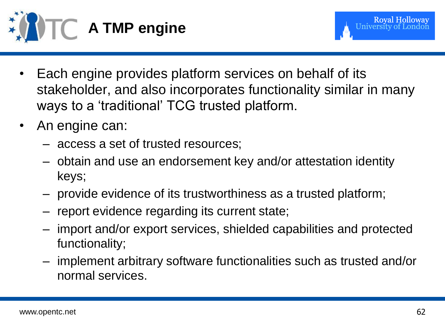

- Each engine provides platform services on behalf of its stakeholder, and also incorporates functionality similar in many ways to a "traditional" TCG trusted platform.
- An engine can:
	- access a set of trusted resources;
	- obtain and use an endorsement key and/or attestation identity keys;
	- provide evidence of its trustworthiness as a trusted platform;
	- report evidence regarding its current state;
	- import and/or export services, shielded capabilities and protected functionality;
	- implement arbitrary software functionalities such as trusted and/or normal services.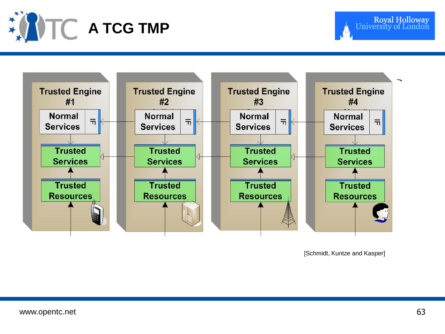



[Schmidt, Kuntze and Kasper]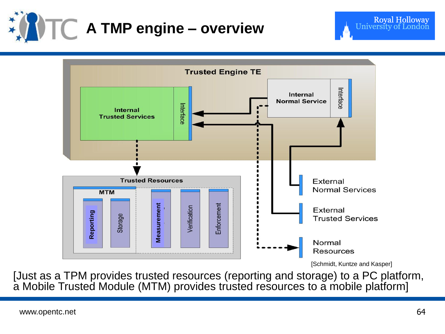



[Just as a TPM provides trusted resources (reporting and storage) to a PC platform, a Mobile Trusted Module (MTM) provides trusted resources to a mobile platform]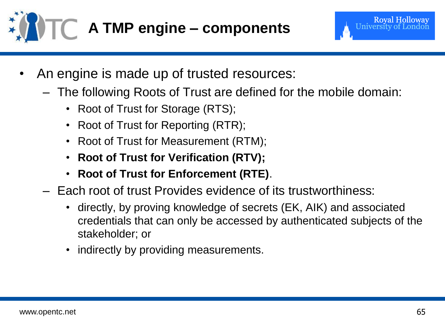

**Royal Holloway** University of

- An engine is made up of trusted resources:
	- The following Roots of Trust are defined for the mobile domain:
		- Root of Trust for Storage (RTS);
		- Root of Trust for Reporting (RTR);
		- Root of Trust for Measurement (RTM);
		- **Root of Trust for Verification (RTV);**
		- **Root of Trust for Enforcement (RTE)**.
	- Each root of trust Provides evidence of its trustworthiness:
		- directly, by proving knowledge of secrets (EK, AIK) and associated credentials that can only be accessed by authenticated subjects of the stakeholder; or
		- indirectly by providing measurements.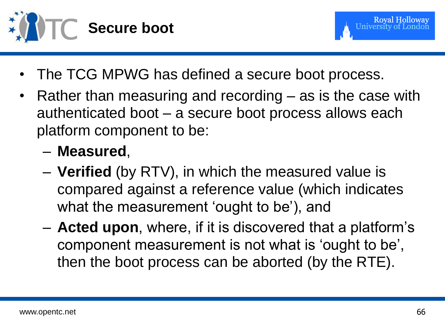



- The TCG MPWG has defined a secure boot process.
- Rather than measuring and recording as is the case with authenticated boot – a secure boot process allows each platform component to be:
	- **Measured**,
	- **Verified** (by RTV), in which the measured value is compared against a reference value (which indicates what the measurement 'ought to be'), and
	- **Acted upon**, where, if it is discovered that a platform"s component measurement is not what is "ought to be", then the boot process can be aborted (by the RTE).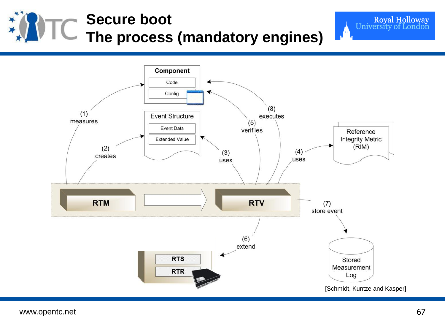## **Secure boot The process (mandatory engines)**



Royal Holloway<br>University of London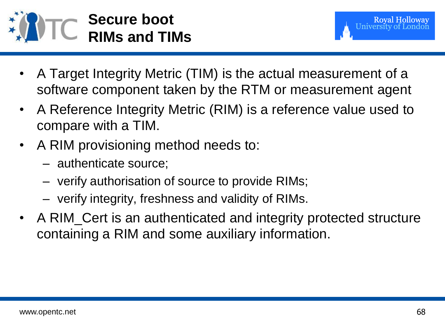

- A Target Integrity Metric (TIM) is the actual measurement of a software component taken by the RTM or measurement agent
- A Reference Integrity Metric (RIM) is a reference value used to compare with a TIM.
- A RIM provisioning method needs to:
	- authenticate source;
	- verify authorisation of source to provide RIMs;
	- verify integrity, freshness and validity of RIMs.
- A RIM\_Cert is an authenticated and integrity protected structure containing a RIM and some auxiliary information.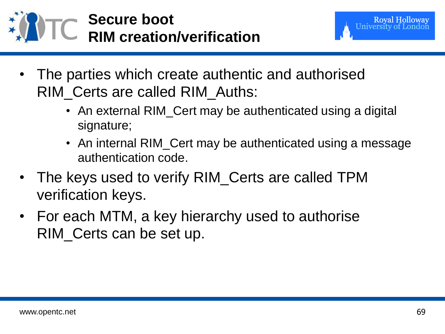



- The parties which create authentic and authorised RIM\_Certs are called RIM\_Auths:
	- An external RIM\_Cert may be authenticated using a digital signature;
	- An internal RIM\_Cert may be authenticated using a message authentication code.
- The keys used to verify RIM\_Certs are called TPM verification keys.
- For each MTM, a key hierarchy used to authorise RIM\_Certs can be set up.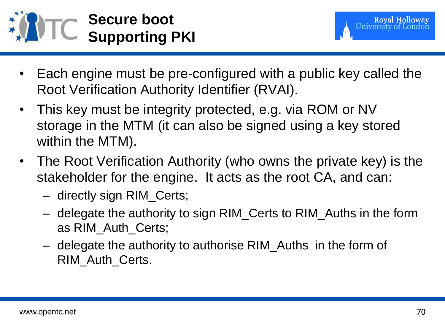

- Each engine must be pre-configured with a public key called the Root Verification Authority Identifier (RVAI).
- This key must be integrity protected, e.g. via ROM or NV storage in the MTM (it can also be signed using a key stored within the MTM).
- The Root Verification Authority (who owns the private key) is the stakeholder for the engine. It acts as the root CA, and can:
	- directly sign RIM\_Certs;
	- delegate the authority to sign RIM\_Certs to RIM\_Auths in the form as RIM\_Auth\_Certs;
	- delegate the authority to authorise RIM\_Auths in the form of RIM\_Auth\_Certs.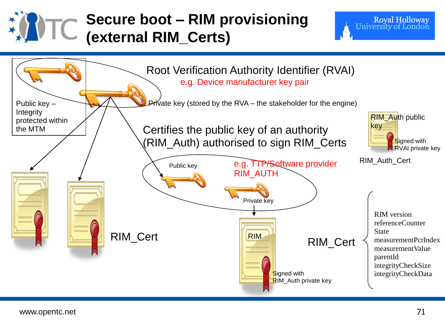

## **Secure boot – RIM provisioning (external RIM\_Certs)**



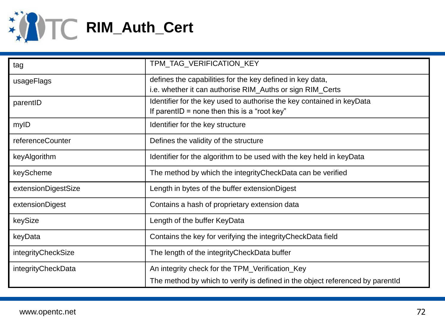

| tag                 | TPM_TAG_VERIFICATION_KEY                                                      |
|---------------------|-------------------------------------------------------------------------------|
| usageFlags          | defines the capabilities for the key defined in key data,                     |
|                     | i.e. whether it can authorise RIM_Auths or sign RIM_Certs                     |
| parentID            | Identifier for the key used to authorise the key contained in keyData         |
|                     | If parent $D =$ none then this is a "root key"                                |
| mylD                | Identifier for the key structure                                              |
| referenceCounter    | Defines the validity of the structure                                         |
| keyAlgorithm        | Identifier for the algorithm to be used with the key held in keyData          |
| keyScheme           | The method by which the integrity Check Data can be verified                  |
| extensionDigestSize | Length in bytes of the buffer extension Digest                                |
| extensionDigest     | Contains a hash of proprietary extension data                                 |
| keySize             | Length of the buffer KeyData                                                  |
| keyData             | Contains the key for verifying the integrity Check Data field                 |
| integrityCheckSize  | The length of the integrity Check Data buffer                                 |
| integrityCheckData  | An integrity check for the TPM_Verification_Key                               |
|                     | The method by which to verify is defined in the object referenced by parentid |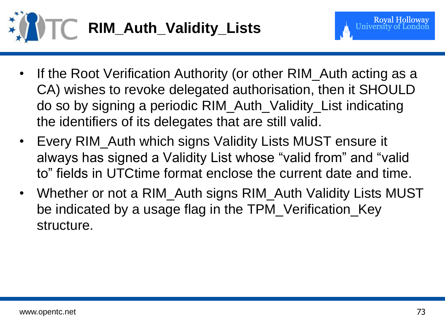

- If the Root Verification Authority (or other RIM\_Auth acting as a CA) wishes to revoke delegated authorisation, then it SHOULD do so by signing a periodic RIM\_Auth\_Validity\_List indicating the identifiers of its delegates that are still valid.
- Every RIM\_Auth which signs Validity Lists MUST ensure it always has signed a Validity List whose "valid from" and "valid to" fields in UTCtime format enclose the current date and time.
- Whether or not a RIM\_Auth signs RIM\_Auth Validity Lists MUST be indicated by a usage flag in the TPM\_Verification\_Key structure.

**Royal Holloway**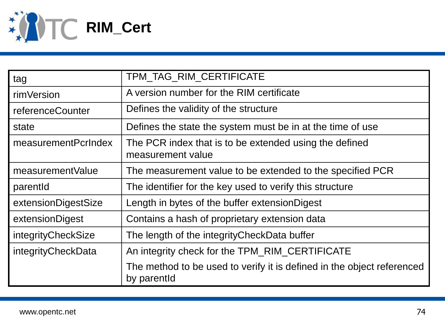

| tag                 | TPM_TAG_RIM_CERTIFICATE                                                               |
|---------------------|---------------------------------------------------------------------------------------|
| rimVersion          | A version number for the RIM certificate                                              |
| referenceCounter    | Defines the validity of the structure                                                 |
| state               | Defines the state the system must be in at the time of use.                           |
| measurementPcrIndex | The PCR index that is to be extended using the defined<br>measurement value           |
| measurementValue    | The measurement value to be extended to the specified PCR                             |
| parentid            | The identifier for the key used to verify this structure                              |
| extensionDigestSize | Length in bytes of the buffer extension Digest                                        |
| extensionDigest     | Contains a hash of proprietary extension data                                         |
| integrityCheckSize  | The length of the integrity Check Data buffer                                         |
| integrityCheckData  | An integrity check for the TPM_RIM_CERTIFICATE                                        |
|                     | The method to be used to verify it is defined in the object referenced<br>by parentid |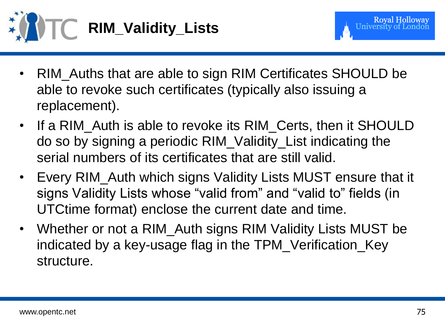



- RIM\_Auths that are able to sign RIM Certificates SHOULD be able to revoke such certificates (typically also issuing a replacement).
- If a RIM\_Auth is able to revoke its RIM\_Certs, then it SHOULD do so by signing a periodic RIM\_Validity\_List indicating the serial numbers of its certificates that are still valid.
- Every RIM\_Auth which signs Validity Lists MUST ensure that it signs Validity Lists whose "valid from" and "valid to" fields (in UTCtime format) enclose the current date and time.
- Whether or not a RIM\_Auth signs RIM Validity Lists MUST be indicated by a key-usage flag in the TPM\_Verification\_Key structure.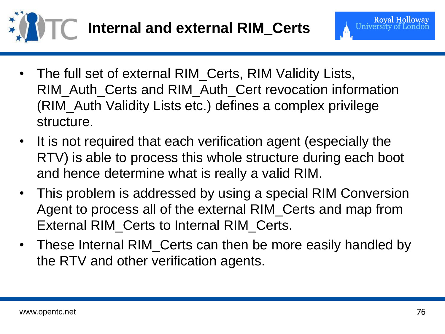

- **Royal Holloway** University of Lon
- The full set of external RIM\_Certs, RIM Validity Lists, RIM\_Auth\_Certs and RIM\_Auth\_Cert revocation information (RIM\_Auth Validity Lists etc.) defines a complex privilege structure.
- It is not required that each verification agent (especially the RTV) is able to process this whole structure during each boot and hence determine what is really a valid RIM.
- This problem is addressed by using a special RIM Conversion Agent to process all of the external RIM\_Certs and map from External RIM\_Certs to Internal RIM\_Certs.
- These Internal RIM\_Certs can then be more easily handled by the RTV and other verification agents.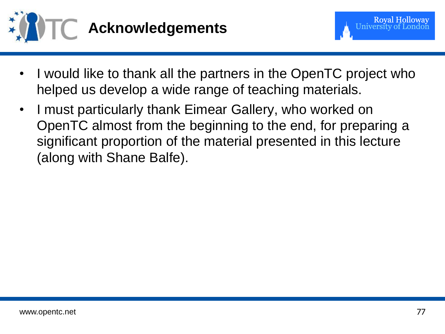

- I would like to thank all the partners in the OpenTC project who helped us develop a wide range of teaching materials.
- I must particularly thank Eimear Gallery, who worked on OpenTC almost from the beginning to the end, for preparing a significant proportion of the material presented in this lecture (along with Shane Balfe).